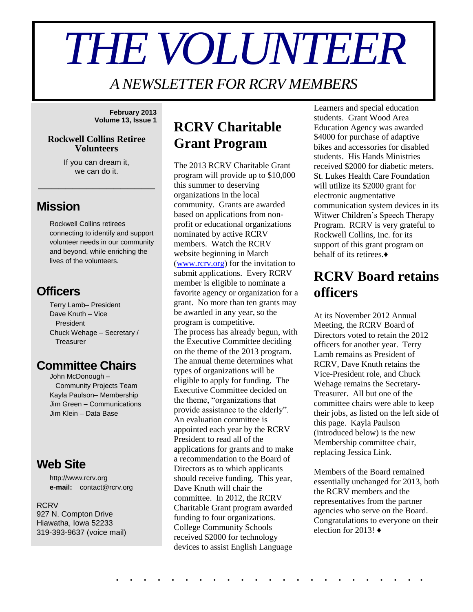# *THE VOLUNTEER*

*A NEWSLETTER FOR RCRV MEMBERS*

**February 2013 Volume 13, Issue 1**

#### **Rockwell Collins Retiree Volunteers**

If you can dream it, we can do it.

\_\_\_\_\_\_\_\_\_\_\_\_\_\_\_\_\_

#### **Mission**

Rockwell Collins retirees connecting to identify and support volunteer needs in our community and beyond, while enriching the lives of the volunteers.

## **Officers**

Terry Lamb– President Dave Knuth – Vice President Chuck Wehage – Secretary / **Treasurer** 

## **Committee Chairs**

John McDonough – Community Projects Team Kayla Paulson– Membership Jim Green – Communications Jim Klein – Data Base

## **Web Site**

http://www.rcrv.org **e-mail:** contact@rcrv.org

#### **RCRV**

927 N. Compton Drive Hiawatha, Iowa 52233 319-393-9637 (voice mail)

# **RCRV Charitable Grant Program**

The 2013 RCRV Charitable Grant program will provide up to \$10,000 this summer to deserving organizations in the local community. Grants are awarded based on applications from nonprofit or educational organizations nominated by active RCRV members. Watch the RCRV website beginning in March [\(www.rcrv.org\)](http://www.rcrv.org/) for the invitation to submit applications. Every RCRV member is eligible to nominate a favorite agency or organization for a grant. No more than ten grants may be awarded in any year, so the program is competitive. The process has already begun, with the Executive Committee deciding on the theme of the 2013 program. The annual theme determines what types of organizations will be eligible to apply for funding. The Executive Committee decided on the theme, "organizations that provide assistance to the elderly". An evaluation committee is appointed each year by the RCRV President to read all of the applications for grants and to make a recommendation to the Board of Directors as to which applicants should receive funding. This year, Dave Knuth will chair the committee. In 2012, the RCRV Charitable Grant program awarded funding to four organizations. College Community Schools received \$2000 for technology devices to assist English Language

. . . . . . . . . . . . . . . . . . . . . . .

Learners and special education students. Grant Wood Area Education Agency was awarded \$4000 for purchase of adaptive bikes and accessories for disabled students. His Hands Ministries received \$2000 for diabetic meters. St. Lukes Health Care Foundation will utilize its \$2000 grant for electronic augmentative communication system devices in its Witwer Children's Speech Therapy Program. RCRV is very grateful to Rockwell Collins, Inc. for its support of this grant program on behalf of its retirees.♦

## **RCRV Board retains officers**

At its November 2012 Annual Meeting, the RCRV Board of Directors voted to retain the 2012 officers for another year. Terry Lamb remains as President of RCRV, Dave Knuth retains the Vice-President role, and Chuck Wehage remains the Secretary-Treasurer. All but one of the committee chairs were able to keep their jobs, as listed on the left side of this page. Kayla Paulson (introduced below) is the new Membership committee chair, replacing Jessica Link.

Members of the Board remained essentially unchanged for 2013, both the RCRV members and the representatives from the partner agencies who serve on the Board. Congratulations to everyone on their election for 2013! ♦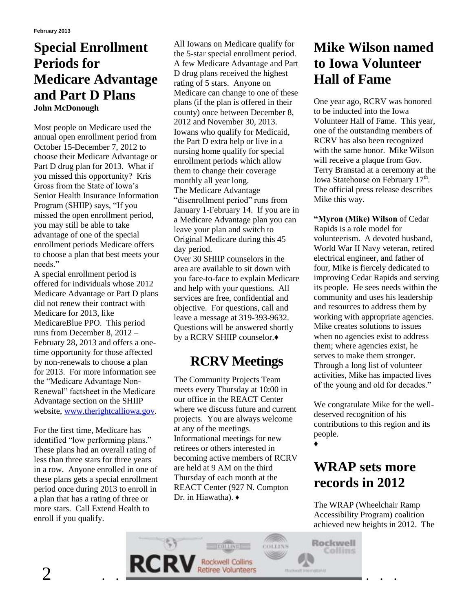## **Special Enrollment Periods for Medicare Advantage and Part D Plans John McDonough**

Most people on Medicare used the annual open enrollment period from October 15-December 7, 2012 to choose their Medicare Advantage or Part D drug plan for 2013. What if you missed this opportunity? Kris Gross from the State of Iowa's Senior Health Insurance Information Program (SHIIP) says, "If you missed the open enrollment period, you may still be able to take advantage of one of the special enrollment periods Medicare offers to choose a plan that best meets your needs."

A special enrollment period is offered for individuals whose 2012 Medicare Advantage or Part D plans did not renew their contract with Medicare for 2013, like MedicareBlue PPO. This period runs from December 8, 2012 – February 28, 2013 and offers a onetime opportunity for those affected by non-renewals to choose a plan for 2013. For more information see the "Medicare Advantage Non-Renewal" factsheet in the Medicare Advantage section on the SHIIP website, [www.therightcalliowa.gov.](http://www.therightcalliowa.gov/)

For the first time, Medicare has identified "low performing plans." These plans had an overall rating of less than three stars for three years in a row. Anyone enrolled in one of these plans gets a special enrollment period once during 2013 to enroll in a plan that has a rating of three or more stars. Call Extend Health to enroll if you qualify.

All Iowans on Medicare qualify for the 5-star special enrollment period. A few Medicare Advantage and Part D drug plans received the highest rating of 5 stars. Anyone on Medicare can change to one of these plans (if the plan is offered in their county) once between December 8, 2012 and November 30, 2013. Iowans who qualify for Medicaid, the Part D extra help or live in a nursing home qualify for special enrollment periods which allow them to change their coverage monthly all year long. The Medicare Advantage "disenrollment period" runs from January 1-February 14. If you are in a Medicare Advantage plan you can leave your plan and switch to Original Medicare during this 45 day period.

Over 30 SHIIP counselors in the area are available to sit down with you face-to-face to explain Medicare and help with your questions. All services are free, confidential and objective. For questions, call and leave a message at 319-393-9632. Questions will be answered shortly by a RCRV SHIIP counselor.♦

# **RCRV Meetings**

The Community Projects Team meets every Thursday at 10:00 in our office in the REACT Center where we discuss future and current projects. You are always welcome at any of the meetings. Informational meetings for new retirees or others interested in becoming active members of RCRV are held at 9 AM on the third Thursday of each month at the REACT Center (927 N. Compton Dr. in Hiawatha). ♦

# **Mike Wilson named to Iowa Volunteer Hall of Fame**

One year ago, RCRV was honored to be inducted into the Iowa Volunteer Hall of Fame. This year, one of the outstanding members of RCRV has also been recognized with the same honor. Mike Wilson will receive a plaque from Gov. Terry Branstad at a ceremony at the Iowa Statehouse on February 17<sup>th</sup>. The official press release describes Mike this way.

**"Myron (Mike) Wilson** of Cedar Rapids is a role model for volunteerism. A devoted husband, World War II Navy veteran, retired electrical engineer, and father of four, Mike is fiercely dedicated to improving Cedar Rapids and serving its people. He sees needs within the community and uses his leadership and resources to address them by working with appropriate agencies. Mike creates solutions to issues when no agencies exist to address them; where agencies exist, he serves to make them stronger. Through a long list of volunteer activities, Mike has impacted lives of the young and old for decades."

We congratulate Mike for the welldeserved recognition of his contributions to this region and its people.

♦

# **WRAP sets more records in 2012**

The WRAP (Wheelchair Ramp Accessibility Program) coalition achieved new heights in 2012. The

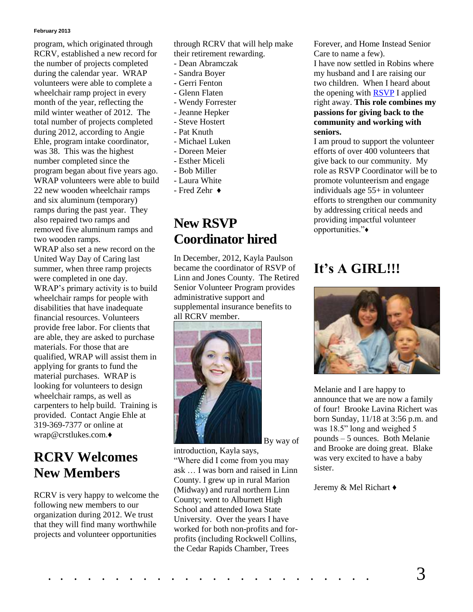#### **February 2013**

program, which originated through RCRV, established a new record for the number of projects completed during the calendar year. WRAP volunteers were able to complete a wheelchair ramp project in every month of the year, reflecting the mild winter weather of 2012. The total number of projects completed during 2012, according to Angie Ehle, program intake coordinator, was 38. This was the highest number completed since the program began about five years ago. WRAP volunteers were able to build 22 new wooden wheelchair ramps and six aluminum (temporary) ramps during the past year. They also repaired two ramps and removed five aluminum ramps and two wooden ramps.

WRAP also set a new record on the United Way Day of Caring last summer, when three ramp projects were completed in one day. WRAP's primary activity is to build wheelchair ramps for people with disabilities that have inadequate financial resources. Volunteers provide free labor. For clients that are able, they are asked to purchase materials. For those that are qualified, WRAP will assist them in applying for grants to fund the material purchases. WRAP is looking for volunteers to design wheelchair ramps, as well as carpenters to help build. Training is provided. Contact Angie Ehle at 319-369-7377 or online at wrap@crstlukes.com.♦

# **RCRV Welcomes New Members**

RCRV is very happy to welcome the following new members to our organization during 2012. We trust that they will find many worthwhile projects and volunteer opportunities

through RCRV that will help make their retirement rewarding.

- Dean Abramczak
- Sandra Boyer
- Gerri Fenton
- Glenn Flaten
- Wendy Forrester
- Jeanne Hepker
- Steve Hostert
- Pat Knuth
- Michael Luken
- Doreen Meier
- Esther Miceli
- Bob Miller
- Laura White
- Fred Zehr ♦

#### **New RSVP Coordinator hired**

In December, 2012, Kayla Paulson became the coordinator of RSVP of Linn and Jones County. The Retired Senior Volunteer Program provides administrative support and supplemental insurance benefits to all RCRV member.



By way of

introduction, Kayla says, "Where did I come from you may ask … I was born and raised in Linn County. I grew up in rural Marion (Midway) and rural northern Linn County; went to Alburnett High School and attended Iowa State University. Over the years I have worked for both non-profits and forprofits (including Rockwell Collins, the Cedar Rapids Chamber, Trees

Forever, and Home Instead Senior Care to name a few).

I have now settled in Robins where my husband and I are raising our two children. When I heard about the opening with [RSVP](http://r20.rs6.net/tn.jsp?e=001-wfxxstxnhLnVEWFx1DDShE1fnmCV2E3WYr2NF2ky_n_S2u2ZdUf3VZcSZLuGbET0zrWrP0Kinp1RWNmilDSWzMH9cO_dzk2LTeI6KMGErgO-UYpwKQDUnY9cVkY3nLA38B0E8tIRH4=) I applied right away. **This role combines my passions for giving back to the community and working with seniors.** 

I am proud to support the volunteer efforts of over 400 volunteers that give back to our community. My role as RSVP Coordinator will be to promote volunteerism and engage individuals age 55+ in volunteer efforts to strengthen our community by addressing critical needs and providing impactful volunteer opportunities."♦

## **It's A GIRL!!!**



Melanie and I are happy to announce that we are now a family of four! Brooke Lavina Richert was born Sunday, 11/18 at 3:56 p.m. and was 18.5" long and weighed 5 pounds – 5 ounces. Both Melanie and Brooke are doing great. Blake was very excited to have a baby sister.

Jeremy & Mel Richart ♦